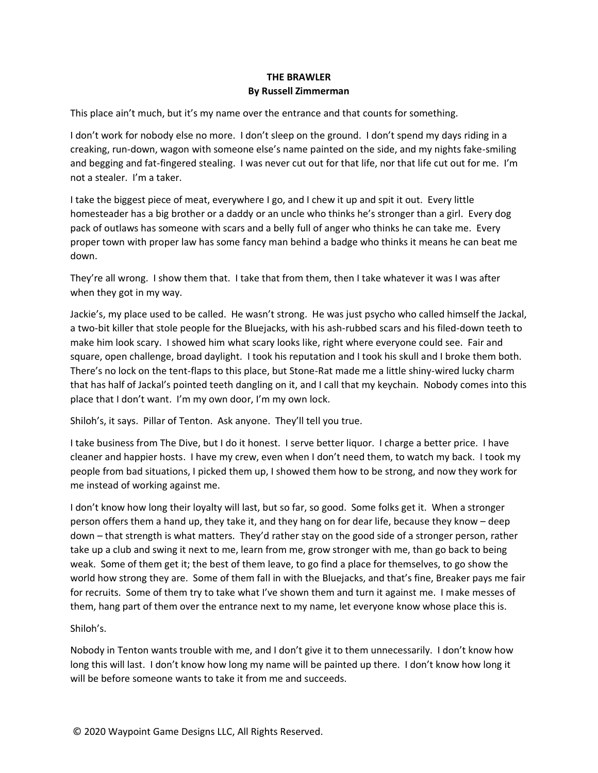## **THE BRAWLER By Russell Zimmerman**

This place ain't much, but it's my name over the entrance and that counts for something.

I don't work for nobody else no more. I don't sleep on the ground. I don't spend my days riding in a creaking, run-down, wagon with someone else's name painted on the side, and my nights fake-smiling and begging and fat-fingered stealing. I was never cut out for that life, nor that life cut out for me. I'm not a stealer. I'm a taker.

I take the biggest piece of meat, everywhere I go, and I chew it up and spit it out. Every little homesteader has a big brother or a daddy or an uncle who thinks he's stronger than a girl. Every dog pack of outlaws has someone with scars and a belly full of anger who thinks he can take me. Every proper town with proper law has some fancy man behind a badge who thinks it means he can beat me down.

They're all wrong. I show them that. I take that from them, then I take whatever it was I was after when they got in my way.

Jackie's, my place used to be called. He wasn't strong. He was just psycho who called himself the Jackal, a two-bit killer that stole people for the Bluejacks, with his ash-rubbed scars and his filed-down teeth to make him look scary. I showed him what scary looks like, right where everyone could see. Fair and square, open challenge, broad daylight. I took his reputation and I took his skull and I broke them both. There's no lock on the tent-flaps to this place, but Stone-Rat made me a little shiny-wired lucky charm that has half of Jackal's pointed teeth dangling on it, and I call that my keychain. Nobody comes into this place that I don't want. I'm my own door, I'm my own lock.

Shiloh's, it says. Pillar of Tenton. Ask anyone. They'll tell you true.

I take business from The Dive, but I do it honest. I serve better liquor. I charge a better price. I have cleaner and happier hosts. I have my crew, even when I don't need them, to watch my back. I took my people from bad situations, I picked them up, I showed them how to be strong, and now they work for me instead of working against me.

I don't know how long their loyalty will last, but so far, so good. Some folks get it. When a stronger person offers them a hand up, they take it, and they hang on for dear life, because they know – deep down – that strength is what matters. They'd rather stay on the good side of a stronger person, rather take up a club and swing it next to me, learn from me, grow stronger with me, than go back to being weak. Some of them get it; the best of them leave, to go find a place for themselves, to go show the world how strong they are. Some of them fall in with the Bluejacks, and that's fine, Breaker pays me fair for recruits. Some of them try to take what I've shown them and turn it against me. I make messes of them, hang part of them over the entrance next to my name, let everyone know whose place this is.

## Shiloh's.

Nobody in Tenton wants trouble with me, and I don't give it to them unnecessarily. I don't know how long this will last. I don't know how long my name will be painted up there. I don't know how long it will be before someone wants to take it from me and succeeds.